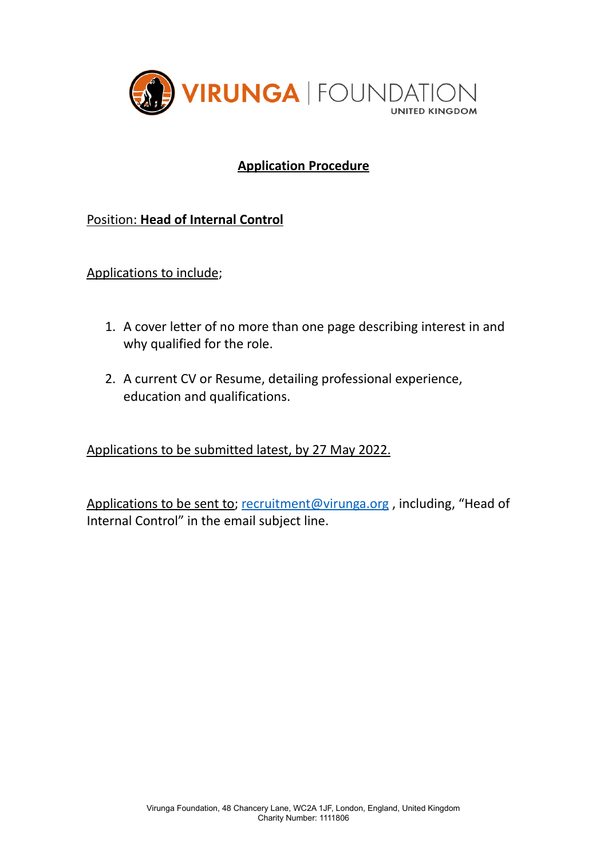

# **Application Procedure**

# Position: **Head of Internal Control**

Applications to include;

- 1. A cover letter of no more than one page describing interest in and why qualified for the role.
- 2. A current CV or Resume, detailing professional experience, education and qualifications.

Applications to be submitted latest, by 27 May 2022.

Applications to be sent to; [recruitment@virunga.org](mailto:recruitment@virunga.org), including, "Head of Internal Control" in the email subject line.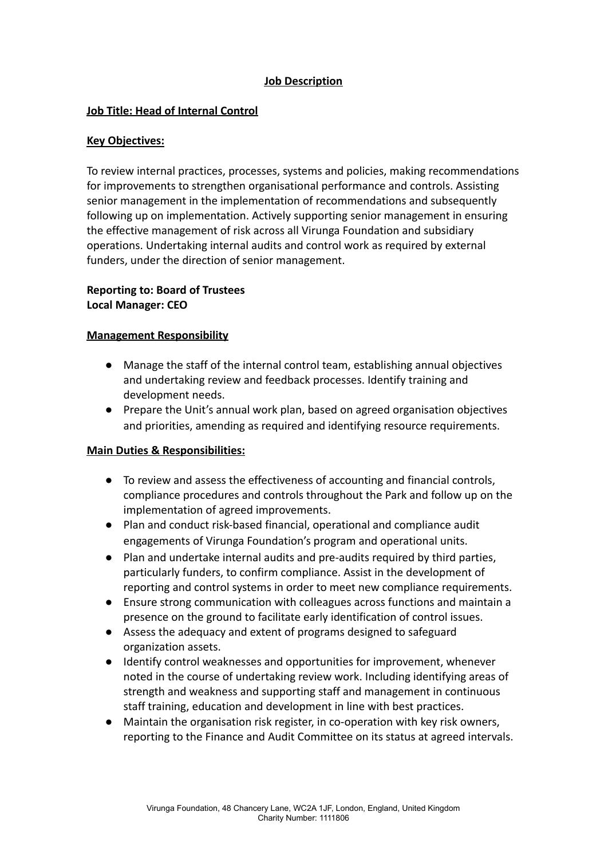## **Job Description**

### **Job Title: Head of Internal Control**

#### **Key Objectives:**

To review internal practices, processes, systems and policies, making recommendations for improvements to strengthen organisational performance and controls. Assisting senior management in the implementation of recommendations and subsequently following up on implementation. Actively supporting senior management in ensuring the effective management of risk across all Virunga Foundation and subsidiary operations. Undertaking internal audits and control work as required by external funders, under the direction of senior management.

## **Reporting to: Board of Trustees Local Manager: CEO**

### **Management Responsibility**

- Manage the staff of the internal control team, establishing annual objectives and undertaking review and feedback processes. Identify training and development needs.
- Prepare the Unit's annual work plan, based on agreed organisation objectives and priorities, amending as required and identifying resource requirements.

#### **Main Duties & Responsibilities:**

- To review and assess the effectiveness of accounting and financial controls, compliance procedures and controls throughout the Park and follow up on the implementation of agreed improvements.
- Plan and conduct risk-based financial, operational and compliance audit engagements of Virunga Foundation's program and operational units.
- Plan and undertake internal audits and pre-audits required by third parties, particularly funders, to confirm compliance. Assist in the development of reporting and control systems in order to meet new compliance requirements.
- Ensure strong communication with colleagues across functions and maintain a presence on the ground to facilitate early identification of control issues.
- Assess the adequacy and extent of programs designed to safeguard organization assets.
- Identify control weaknesses and opportunities for improvement, whenever noted in the course of undertaking review work. Including identifying areas of strength and weakness and supporting staff and management in continuous staff training, education and development in line with best practices.
- Maintain the organisation risk register, in co-operation with key risk owners, reporting to the Finance and Audit Committee on its status at agreed intervals.